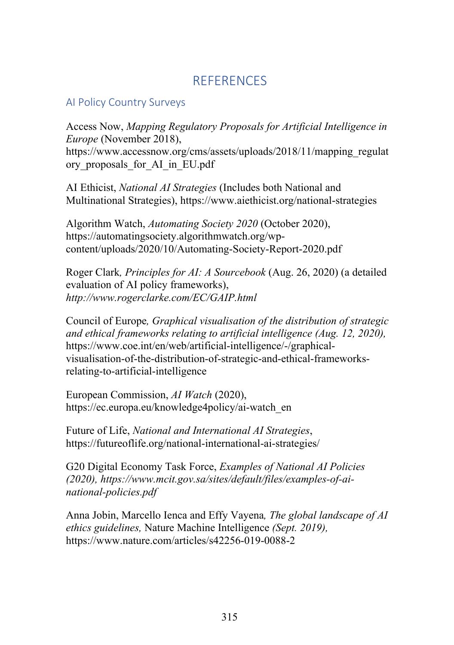## **REFERENCES**

### AI Policy Country Surveys

Access Now, *Mapping Regulatory Proposals for Artificial Intelligence in Europe* (November 2018), https://www.accessnow.org/cms/assets/uploads/2018/11/mapping\_regulat ory\_proposals\_for\_AI\_in\_EU.pdf

AI Ethicist, *National AI Strategies* (Includes both National and Multinational Strategies), https://www.aiethicist.org/national-strategies

Algorithm Watch, *Automating Society 2020* (October 2020), https://automatingsociety.algorithmwatch.org/wpcontent/uploads/2020/10/Automating-Society-Report-2020.pdf

Roger Clark*, Principles for AI: A Sourcebook* (Aug. 26, 2020) (a detailed evaluation of AI policy frameworks), *http://www.rogerclarke.com/EC/GAIP.html*

Council of Europe*, Graphical visualisation of the distribution of strategic and ethical frameworks relating to artificial intelligence (Aug. 12, 2020),*  https://www.coe.int/en/web/artificial-intelligence/-/graphicalvisualisation-of-the-distribution-of-strategic-and-ethical-frameworksrelating-to-artificial-intelligence

European Commission, *AI Watch* (2020), https://ec.europa.eu/knowledge4policy/ai-watch\_en

Future of Life, *National and International AI Strategies*, https://futureoflife.org/national-international-ai-strategies/

G20 Digital Economy Task Force, *Examples of National AI Policies (2020), https://www.mcit.gov.sa/sites/default/files/examples-of-ainational-policies.pdf*

Anna Jobin, Marcello Ienca and Effy Vayena*, The global landscape of AI ethics guidelines,* Nature Machine Intelligence *(Sept. 2019),*  https://www.nature.com/articles/s42256-019-0088-2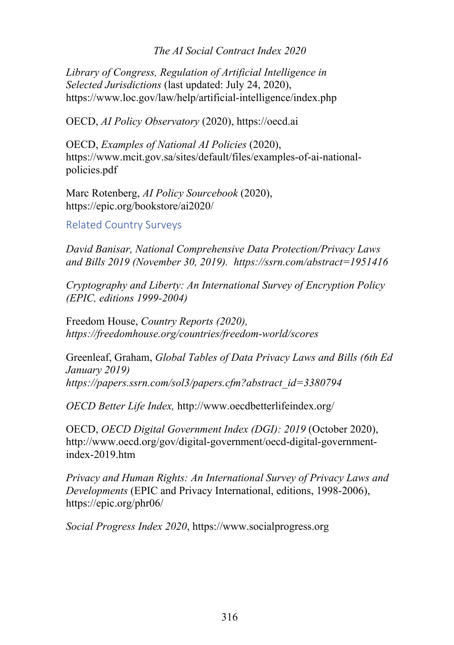#### *The AI Social Contract Index 2020*

*Library of Congress, Regulation of Artificial Intelligence in Selected Jurisdictions* (last updated: July 24, 2020), https://www.loc.gov/law/help/artificial-intelligence/index.php

OECD, *AI Policy Observatory* (2020), https://oecd.ai

OECD, *Examples of National AI Policies* (2020), https://www.mcit.gov.sa/sites/default/files/examples-of-ai-nationalpolicies.pdf

Marc Rotenberg, *AI Policy Sourcebook* (2020), https://epic.org/bookstore/ai2020/

Related Country Surveys

*David Banisar, National Comprehensive Data Protection/Privacy Laws and Bills 2019 (November 30, 2019). https://ssrn.com/abstract=1951416*

*Cryptography and Liberty: An International Survey of Encryption Policy (EPIC, editions 1999-2004)* 

Freedom House, *Country Reports (2020), https://freedomhouse.org/countries/freedom-world/scores*

Greenleaf, Graham, *Global Tables of Data Privacy Laws and Bills (6th Ed January 2019) https://papers.ssrn.com/sol3/papers.cfm?abstract\_id=3380794*

*OECD Better Life Index,* http://www.oecdbetterlifeindex.org/

OECD, *OECD Digital Government Index (DGI): 2019* (October 2020), http://www.oecd.org/gov/digital-government/oecd-digital-governmentindex-2019.htm

*Privacy and Human Rights: An International Survey of Privacy Laws and Developments* (EPIC and Privacy International, editions, 1998-2006), https://epic.org/phr06/

*Social Progress Index 2020*, https://www.socialprogress.org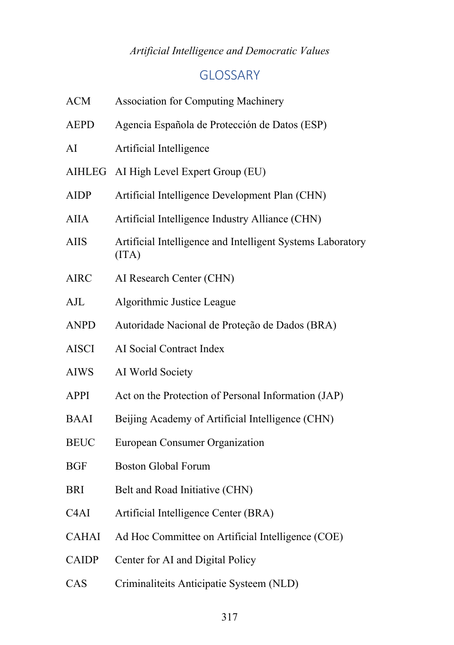### *Artificial Intelligence and Democratic Values*

# GLOSSARY

| <b>ACM</b>        | <b>Association for Computing Machinery</b>                          |
|-------------------|---------------------------------------------------------------------|
| <b>AEPD</b>       | Agencia Española de Protección de Datos (ESP)                       |
| AI                | Artificial Intelligence                                             |
|                   | AIHLEG AI High Level Expert Group (EU)                              |
| <b>AIDP</b>       | Artificial Intelligence Development Plan (CHN)                      |
| AIIA              | Artificial Intelligence Industry Alliance (CHN)                     |
| <b>AIIS</b>       | Artificial Intelligence and Intelligent Systems Laboratory<br>(ITA) |
| <b>AIRC</b>       | AI Research Center (CHN)                                            |
| $A$ J $L$         | Algorithmic Justice League                                          |
| <b>ANPD</b>       | Autoridade Nacional de Proteção de Dados (BRA)                      |
| <b>AISCI</b>      | AI Social Contract Index                                            |
| <b>AIWS</b>       | AI World Society                                                    |
| <b>APPI</b>       | Act on the Protection of Personal Information (JAP)                 |
| <b>BAAI</b>       | Beijing Academy of Artificial Intelligence (CHN)                    |
| <b>BEUC</b>       | European Consumer Organization                                      |
| <b>BGF</b>        | <b>Boston Global Forum</b>                                          |
| <b>BRI</b>        | Belt and Road Initiative (CHN)                                      |
| C <sub>4</sub> AI | Artificial Intelligence Center (BRA)                                |
| <b>CAHAI</b>      | Ad Hoc Committee on Artificial Intelligence (COE)                   |
| <b>CAIDP</b>      | Center for AI and Digital Policy                                    |
| CAS               | Criminaliteits Anticipatie Systeem (NLD)                            |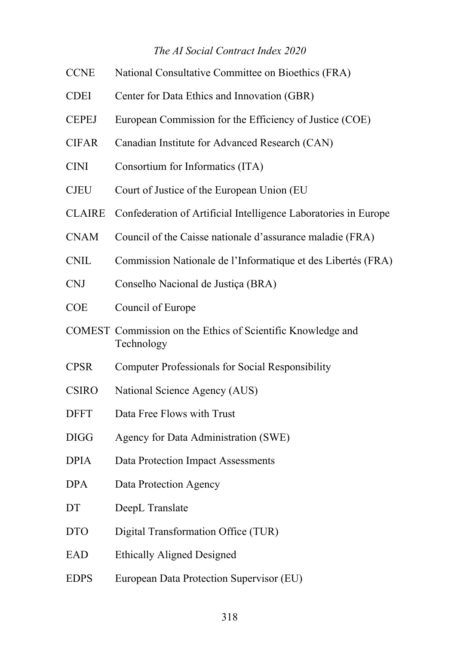### *The AI Social Contract Index 2020*

| <b>CCNE</b>   | National Consultative Committee on Bioethics (FRA)                        |
|---------------|---------------------------------------------------------------------------|
| <b>CDEI</b>   | Center for Data Ethics and Innovation (GBR)                               |
| <b>CEPEJ</b>  | European Commission for the Efficiency of Justice (COE)                   |
| <b>CIFAR</b>  | Canadian Institute for Advanced Research (CAN)                            |
| <b>CINI</b>   | Consortium for Informatics (ITA)                                          |
| <b>CJEU</b>   | Court of Justice of the European Union (EU                                |
| <b>CLAIRE</b> | Confederation of Artificial Intelligence Laboratories in Europe           |
| <b>CNAM</b>   | Council of the Caisse nationale d'assurance maladie (FRA)                 |
| <b>CNIL</b>   | Commission Nationale de l'Informatique et des Libertés (FRA)              |
| <b>CNJ</b>    | Conselho Nacional de Justiça (BRA)                                        |
| <b>COE</b>    | Council of Europe                                                         |
|               | COMEST Commission on the Ethics of Scientific Knowledge and<br>Technology |
| <b>CPSR</b>   | <b>Computer Professionals for Social Responsibility</b>                   |
| <b>CSIRO</b>  | National Science Agency (AUS)                                             |
| <b>DFFT</b>   | Data Free Flows with Trust                                                |
| <b>DIGG</b>   | Agency for Data Administration (SWE)                                      |
| <b>DPIA</b>   | Data Protection Impact Assessments                                        |
| <b>DPA</b>    | Data Protection Agency                                                    |
| DT            | DeepL Translate                                                           |
| <b>DTO</b>    | Digital Transformation Office (TUR)                                       |
| EAD           | <b>Ethically Aligned Designed</b>                                         |
| <b>EDPS</b>   | European Data Protection Supervisor (EU)                                  |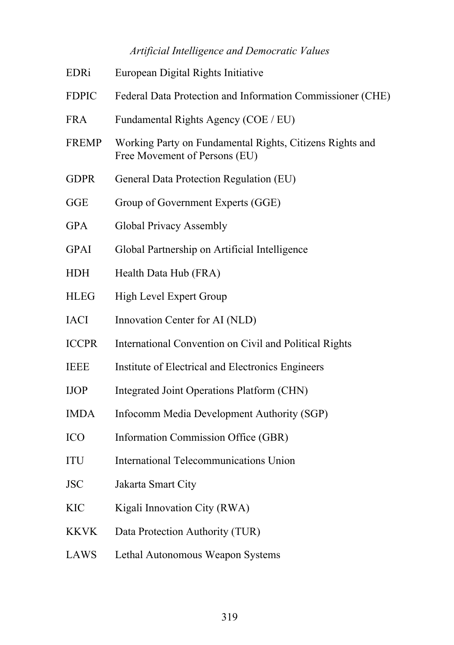# *Artificial Intelligence and Democratic Values*

| EDRi         | European Digital Rights Initiative                                                        |
|--------------|-------------------------------------------------------------------------------------------|
| <b>FDPIC</b> | Federal Data Protection and Information Commissioner (CHE)                                |
| <b>FRA</b>   | Fundamental Rights Agency (COE / EU)                                                      |
| <b>FREMP</b> | Working Party on Fundamental Rights, Citizens Rights and<br>Free Movement of Persons (EU) |
| <b>GDPR</b>  | General Data Protection Regulation (EU)                                                   |
| <b>GGE</b>   | Group of Government Experts (GGE)                                                         |
| <b>GPA</b>   | <b>Global Privacy Assembly</b>                                                            |
| <b>GPAI</b>  | Global Partnership on Artificial Intelligence                                             |
| <b>HDH</b>   | Health Data Hub (FRA)                                                                     |
| <b>HLEG</b>  | <b>High Level Expert Group</b>                                                            |
| <b>IACI</b>  | Innovation Center for AI (NLD)                                                            |
| <b>ICCPR</b> | International Convention on Civil and Political Rights                                    |
| <b>IEEE</b>  | Institute of Electrical and Electronics Engineers                                         |
| <b>IJOP</b>  | Integrated Joint Operations Platform (CHN)                                                |
| <b>IMDA</b>  | Infocomm Media Development Authority (SGP)                                                |
| <b>ICO</b>   | Information Commission Office (GBR)                                                       |
| <b>ITU</b>   | <b>International Telecommunications Union</b>                                             |
| <b>JSC</b>   | Jakarta Smart City                                                                        |
| <b>KIC</b>   | Kigali Innovation City (RWA)                                                              |
| <b>KKVK</b>  | Data Protection Authority (TUR)                                                           |
| LAWS         | Lethal Autonomous Weapon Systems                                                          |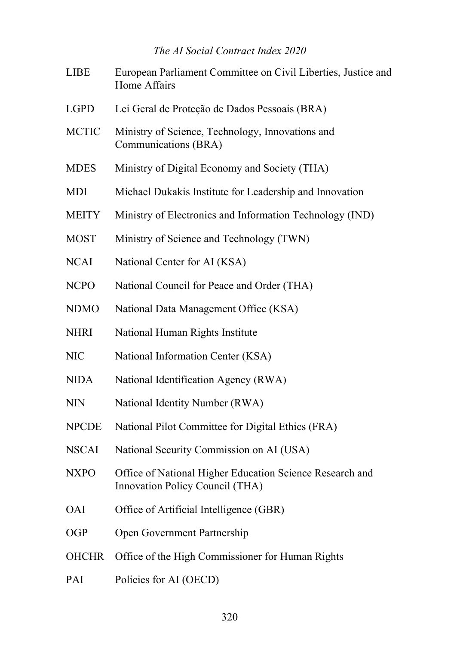### *The AI Social Contract Index 2020*

| <b>LIBE</b>  | European Parliament Committee on Civil Liberties, Justice and<br>Home Affairs               |
|--------------|---------------------------------------------------------------------------------------------|
| <b>LGPD</b>  | Lei Geral de Proteção de Dados Pessoais (BRA)                                               |
| <b>MCTIC</b> | Ministry of Science, Technology, Innovations and<br>Communications (BRA)                    |
| <b>MDES</b>  | Ministry of Digital Economy and Society (THA)                                               |
| <b>MDI</b>   | Michael Dukakis Institute for Leadership and Innovation                                     |
| <b>MEITY</b> | Ministry of Electronics and Information Technology (IND)                                    |
| <b>MOST</b>  | Ministry of Science and Technology (TWN)                                                    |
| <b>NCAI</b>  | National Center for AI (KSA)                                                                |
| <b>NCPO</b>  | National Council for Peace and Order (THA)                                                  |
| <b>NDMO</b>  | National Data Management Office (KSA)                                                       |
| <b>NHRI</b>  | National Human Rights Institute                                                             |
| <b>NIC</b>   | National Information Center (KSA)                                                           |
| <b>NIDA</b>  | National Identification Agency (RWA)                                                        |
| <b>NIN</b>   | National Identity Number (RWA)                                                              |
| <b>NPCDE</b> | National Pilot Committee for Digital Ethics (FRA)                                           |
| <b>NSCAI</b> | National Security Commission on AI (USA)                                                    |
| <b>NXPO</b>  | Office of National Higher Education Science Research and<br>Innovation Policy Council (THA) |
| <b>OAI</b>   | Office of Artificial Intelligence (GBR)                                                     |
| <b>OGP</b>   | Open Government Partnership                                                                 |
| <b>OHCHR</b> | Office of the High Commissioner for Human Rights                                            |
| PAI          | Policies for AI (OECD)                                                                      |